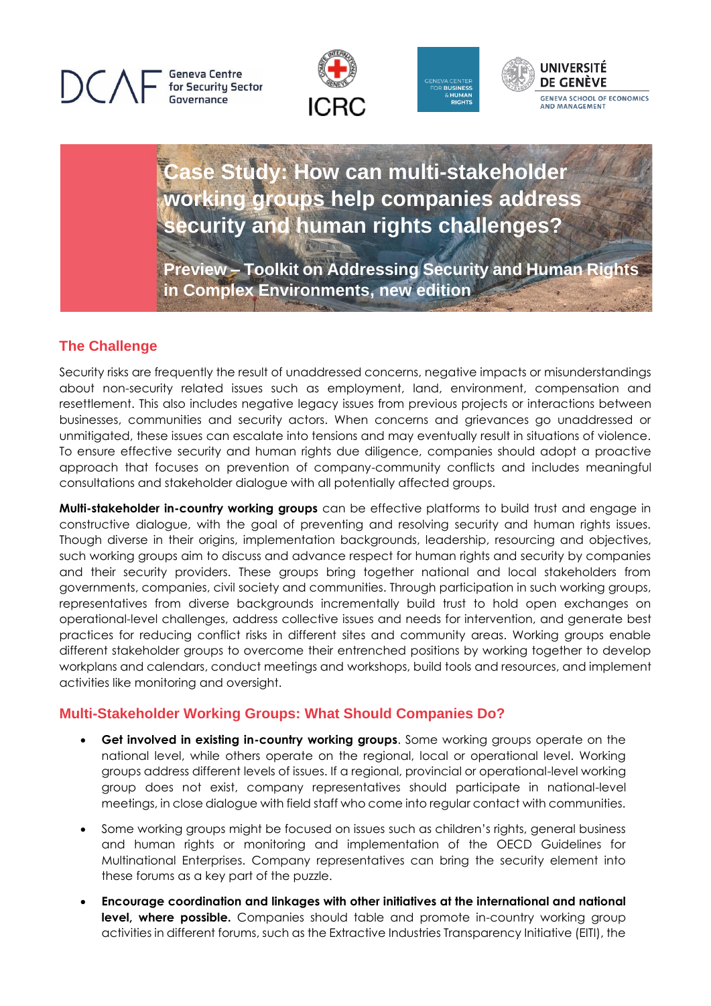**Geneva Centre** for Security Sector Governance







**Case Study: How can multi-stakeholder working groups help companies address security and human rights challenges?**

**Preview – Toolkit on Addressing Security and Human Rights in Complex Environments, new edition**

## **The Challenge**

Security risks are frequently the result of unaddressed concerns, negative impacts or misunderstandings about non-security related issues such as employment, land, environment, compensation and resettlement. This also includes negative legacy issues from previous projects or interactions between businesses, communities and security actors. When concerns and grievances go unaddressed or unmitigated, these issues can escalate into tensions and may eventually result in situations of violence. To ensure effective security and human rights due diligence, companies should adopt a proactive approach that focuses on prevention of company-community conflicts and includes meaningful consultations and stakeholder dialogue with all potentially affected groups.

**Multi-stakeholder in-country working groups** can be effective platforms to build trust and engage in constructive dialogue, with the goal of preventing and resolving security and human rights issues. Though diverse in their origins, implementation backgrounds, leadership, resourcing and objectives, such working groups aim to discuss and advance respect for human rights and security by companies and their security providers. These groups bring together national and local stakeholders from governments, companies, civil society and communities. Through participation in such working groups, representatives from diverse backgrounds incrementally build trust to hold open exchanges on operational-level challenges, address collective issues and needs for intervention, and generate best practices for reducing conflict risks in different sites and community areas. Working groups enable different stakeholder groups to overcome their entrenched positions by working together to develop workplans and calendars, conduct meetings and workshops, build tools and resources, and implement activities like monitoring and oversight.

## **Multi-Stakeholder Working Groups: What Should Companies Do?**

- **Get involved in existing in-country working groups**. Some working groups operate on the national level, while others operate on the regional, local or operational level. Working groups address different levels of issues. If a regional, provincial or operational-level working group does not exist, company representatives should participate in national-level meetings, in close dialogue with field staff who come into regular contact with communities.
- Some working groups might be focused on issues such as children's rights, general business and human rights or monitoring and implementation of the OECD Guidelines for Multinational Enterprises. Company representatives can bring the security element into these forums as a key part of the puzzle.
- **Encourage coordination and linkages with other initiatives at the international and national level, where possible.** Companies should table and promote in-country working group activities in different forums, such as the Extractive Industries Transparency Initiative (EITI), the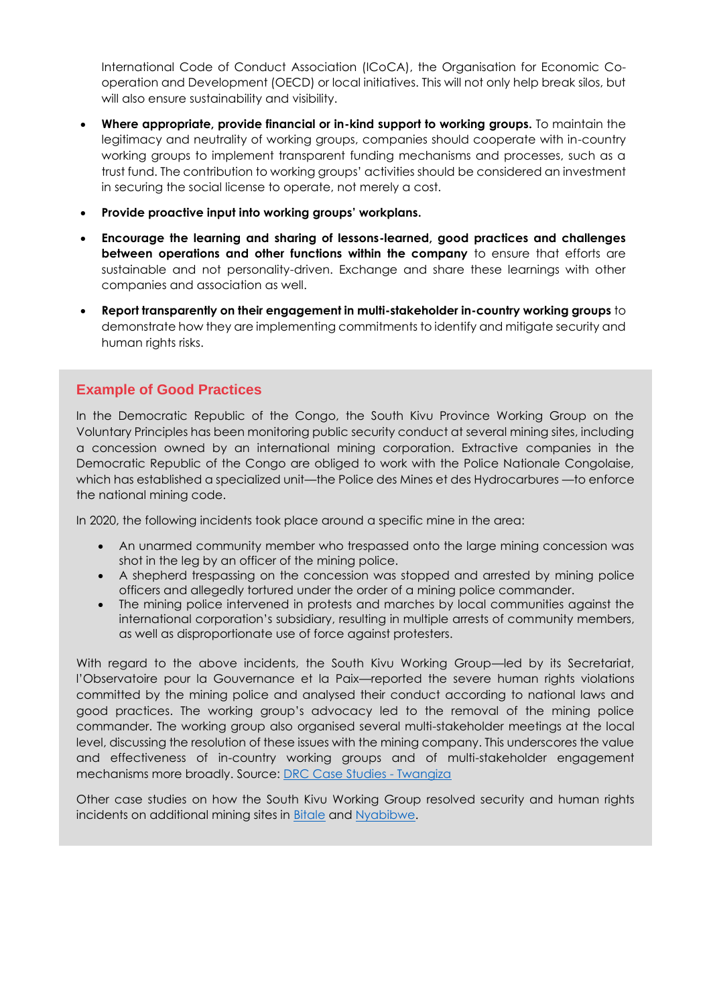International Code of Conduct Association (ICoCA), the Organisation for Economic Cooperation and Development (OECD) or local initiatives. This will not only help break silos, but will also ensure sustainability and visibility.

- **Where appropriate, provide financial or in-kind support to working groups.** To maintain the legitimacy and neutrality of working groups, companies should cooperate with in-country working groups to implement transparent funding mechanisms and processes, such as a trust fund. The contribution to working groups' activities should be considered an investment in securing the social license to operate, not merely a cost.
- **Provide proactive input into working groups' workplans.**
- **Encourage the learning and sharing of lessons-learned, good practices and challenges between operations and other functions within the company** to ensure that efforts are sustainable and not personality-driven. Exchange and share these learnings with other companies and association as well.
- **Report transparently on their engagement in multi-stakeholder in-country working groups** to demonstrate how they are implementing commitments to identify and mitigate security and human rights risks.

## **Example of Good Practices**

In the Democratic Republic of the Congo, the South Kivu Province Working Group on the Voluntary Principles has been monitoring public security conduct at several mining sites, including a concession owned by an international mining corporation. Extractive companies in the Democratic Republic of the Congo are obliged to work with the Police Nationale Congolaise, which has established a specialized unit—the Police des Mines et des Hydrocarbures —to enforce the national mining code.

In 2020, the following incidents took place around a specific mine in the area:

- An unarmed community member who trespassed onto the large mining concession was shot in the leg by an officer of the mining police.
- A shepherd trespassing on the concession was stopped and arrested by mining police officers and allegedly tortured under the order of a mining police commander.
- The mining police intervened in protests and marches by local communities against the international corporation's subsidiary, resulting in multiple arrests of community members, as well as disproportionate use of force against protesters.

With regard to the above incidents, the South Kivu Working Group—led by its Secretariat, l'Observatoire pour la Gouvernance et la Paix—reported the severe human rights violations committed by the mining police and analysed their conduct according to national laws and good practices. The working group's advocacy led to the removal of the mining police commander. The working group also organised several multi-stakeholder meetings at the local level, discussing the resolution of these issues with the mining company. This underscores the value and effectiveness of in-country working groups and of multi-stakeholder engagement mechanisms more broadly. Source: [DRC Case Studies -](https://www.securityhumanrightshub.org/node/400) Twangiza

Other case studies on how the South Kivu Working Group resolved security and human rights incidents on additional mining sites in **Bitale and Nyabibwe**.